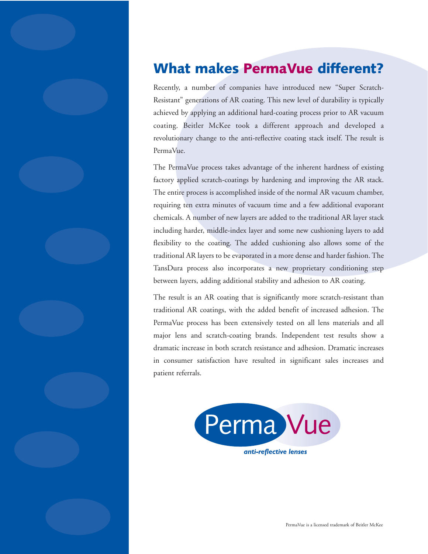## **What makes PermaVue different?**

Recently, a number of companies have introduced new "Super Scratch-Resistant" generations of AR coating. This new level of durability is typically achieved by applying an additional hard-coating process prior to AR vacuum coating. Beitler McKee took a different approach and developed a revolutionary change to the anti-reflective coating stack itself. The result is PermaVue.

The PermaVue process takes advantage of the inherent hardness of existing factory applied scratch-coatings by hardening and improving the AR stack. The entire process is accomplished inside of the normal AR vacuum chamber, requiring ten extra minutes of vacuum time and a few additional evaporant chemicals. A number of new layers are added to the traditional AR layer stack including harder, middle-index layer and some new cushioning layers to add flexibility to the coating. The added cushioning also allows some of the traditional AR layers to be evaporated in a more dense and harder fashion. The TansDura process also incorporates a new proprietary conditioning step between layers, adding additional stability and adhesion to AR coating.

The result is an AR coating that is significantly more scratch-resistant than traditional AR coatings, with the added benefit of increased adhesion. The PermaVue process has been extensively tested on all lens materials and all major lens and scratch-coating brands. Independent test results show a dramatic increase in both scratch resistance and adhesion. Dramatic increases in consumer satisfaction have resulted in significant sales increases and patient referrals.